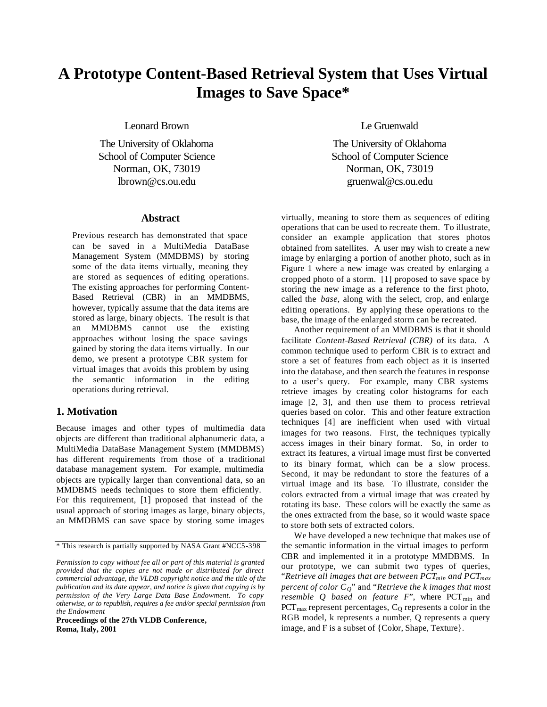# **A Prototype Content-Based Retrieval System that Uses Virtual Images to Save Space\***

Leonard Brown

The University of Oklahoma School of Computer Science Norman, OK, 73019 lbrown@cs.ou.edu

#### **Abstract**

Previous research has demonstrated that space can be saved in a MultiMedia DataBase Management System (MMDBMS) by storing some of the data items virtually, meaning they are stored as sequences of editing operations. The existing approaches for performing Content-Based Retrieval (CBR) in an MMDBMS, however, typically assume that the data items are stored as large, binary objects. The result is that an MMDBMS cannot use the existing approaches without losing the space savings gained by storing the data items virtually. In our demo, we present a prototype CBR system for virtual images that avoids this problem by using the semantic information in the editing operations during retrieval.

# **1. Motivation**

Because images and other types of multimedia data objects are different than traditional alphanumeric data, a MultiMedia DataBase Management System (MMDBMS) has different requirements from those of a traditional database management system. For example, multimedia objects are typically larger than conventional data, so an MMDBMS needs techniques to store them efficiently. For this requirement, [1] proposed that instead of the usual approach of storing images as large, binary objects, an MMDBMS can save space by storing some images

**Proceedings of the 27th VLDB Conference, Roma, Italy, 2001**

Le Gruenwald

The University of Oklahoma School of Computer Science Norman, OK, 73019 gruenwal@cs.ou.edu

virtually, meaning to store them as sequences of editing operations that can be used to recreate them. To illustrate, consider an example application that stores photos obtained from satellites. A user may wish to create a new image by enlarging a portion of another photo, such as in Figure 1 where a new image was created by enlarging a cropped photo of a storm. [1] proposed to save space by storing the new image as a reference to the first photo, called the *base*, along with the select, crop, and enlarge editing operations. By applying these operations to the base, the image of the enlarged storm can be recreated.

Another requirement of an MMDBMS is that it should facilitate *Content-Based Retrieval (CBR)* of its data. A common technique used to perform CBR is to extract and store a set of features from each object as it is inserted into the database, and then search the features in response to a user's query. For example, many CBR systems retrieve images by creating color histograms for each image [2, 3], and then use them to process retrieval queries based on color. This and other feature extraction techniques [4] are inefficient when used with virtual images for two reasons. First, the techniques typically access images in their binary format. So, in order to extract its features, a virtual image must first be converted to its binary format, which can be a slow process. Second, it may be redundant to store the features of a virtual image and its base. To illustrate, consider the colors extracted from a virtual image that was created by rotating its base. These colors will be exactly the same as the ones extracted from the base, so it would waste space to store both sets of extracted colors.

We have developed a new technique that makes use of the semantic information in the virtual images to perform CBR and implemented it in a prototype MMDBMS. In our prototype, we can submit two types of queries, "*Retrieve all images that are between PCTmin and PCTmax percent of color CQ*" and "*Retrieve the k images that most resemble Q based on feature F"*, where PCT<sub>min</sub> and  $PCT<sub>max</sub>$  represent percentages,  $C<sub>Q</sub>$  represents a color in the RGB model, k represents a number, Q represents a query image, and F is a subset of {Color, Shape, Texture}.

<sup>\*</sup> This research is partially supported by NASA Grant #NCC5-398

*Permission to copy without fee all or part of this material is granted provided that the copies are not made or distributed for direct commercial advantage, the VLDB copyright notice and the title of the publication and its date appear, and notice is given that copying is by permission of the Very Large Data Base Endowment. To copy otherwise, or to republish, requires a fee and/or special permission from the Endowment*